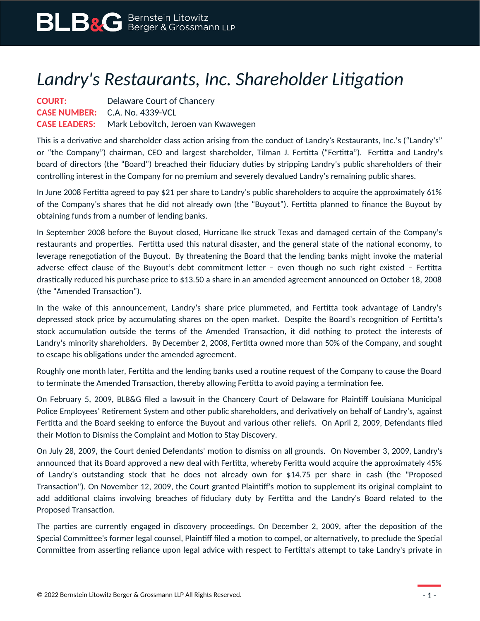## *Landry's Restaurants, Inc. Shareholder Litigation*

**COURT:** Delaware Court of Chancery **CASE NUMBER:** C.A. No. 4339-VCL **CASE LEADERS:** Mark Lebovitch, Jeroen van Kwawegen

This is a derivative and shareholder class action arising from the conduct of Landry's Restaurants, Inc.'s ("Landry's" or "the Company") chairman, CEO and largest shareholder, Tilman J. Fertitta ("Fertitta"). Fertitta and Landry's board of directors (the "Board") breached their fiduciary duties by stripping Landry's public shareholders of their controlling interest in the Company for no premium and severely devalued Landry's remaining public shares.

In June 2008 Fertitta agreed to pay \$21 per share to Landry's public shareholders to acquire the approximately 61% of the Company's shares that he did not already own (the "Buyout"). Fertitta planned to finance the Buyout by obtaining funds from a number of lending banks.

In September 2008 before the Buyout closed, Hurricane Ike struck Texas and damaged certain of the Company's restaurants and properties. Fertitta used this natural disaster, and the general state of the national economy, to leverage renegotiation of the Buyout. By threatening the Board that the lending banks might invoke the material adverse effect clause of the Buyout's debt commitment letter – even though no such right existed – Fertitta drastically reduced his purchase price to \$13.50 a share in an amended agreement announced on October 18, 2008 (the "Amended Transaction").

In the wake of this announcement, Landry's share price plummeted, and Fertitta took advantage of Landry's depressed stock price by accumulating shares on the open market. Despite the Board's recognition of Fertitta's stock accumulation outside the terms of the Amended Transaction, it did nothing to protect the interests of Landry's minority shareholders. By December 2, 2008, Fertitta owned more than 50% of the Company, and sought to escape his obligations under the amended agreement.

Roughly one month later, Fertitta and the lending banks used a routine request of the Company to cause the Board to terminate the Amended Transaction, thereby allowing Fertitta to avoid paying a termination fee.

On February 5, 2009, BLB&G filed a lawsuit in the Chancery Court of Delaware for Plaintiff Louisiana Municipal Police Employees' Retirement System and other public shareholders, and derivatively on behalf of Landry's, against Fertitta and the Board seeking to enforce the Buyout and various other reliefs. On April 2, 2009, Defendants filed their Motion to Dismiss the Complaint and Motion to Stay Discovery.

On July 28, 2009, the Court denied Defendants' motion to dismiss on all grounds. On November 3, 2009, Landry's announced that its Board approved a new deal with Fertitta, whereby Feritta would acquire the approximately 45% of Landry's outstanding stock that he does not already own for \$14.75 per share in cash (the "Proposed Transaction"). On November 12, 2009, the Court granted Plaintiff's motion to supplement its original complaint to add additional claims involving breaches of fiduciary duty by Fertitta and the Landry's Board related to the Proposed Transaction.

The parties are currently engaged in discovery proceedings. On December 2, 2009, after the deposition of the Special Committee's former legal counsel, Plaintiff filed a motion to compel, or alternatively, to preclude the Special Committee from asserting reliance upon legal advice with respect to Fertitta's attempt to take Landry's private in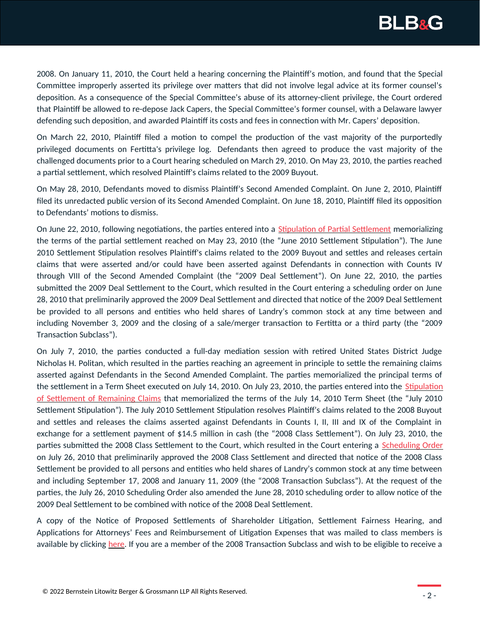

2008. On January 11, 2010, the Court held a hearing concerning the Plaintiff's motion, and found that the Special Committee improperly asserted its privilege over matters that did not involve legal advice at its former counsel's deposition. As a consequence of the Special Committee's abuse of its attorney-client privilege, the Court ordered that Plaintiff be allowed to re-depose Jack Capers, the Special Committee's former counsel, with a Delaware lawyer defending such deposition, and awarded Plaintiff its costs and fees in connection with Mr. Capers' deposition.

On March 22, 2010, Plaintiff filed a motion to compel the production of the vast majority of the purportedly privileged documents on Fertitta's privilege log. Defendants then agreed to produce the vast majority of the challenged documents prior to a Court hearing scheduled on March 29, 2010. On May 23, 2010, the parties reached a partial settlement, which resolved Plaintiff's claims related to the 2009 Buyout.

On May 28, 2010, Defendants moved to dismiss Plaintiff's Second Amended Complaint. On June 2, 2010, Plaintiff filed its unredacted public version of its Second Amended Complaint. On June 18, 2010, Plaintiff filed its opposition to Defendants' motions to dismiss.

On June 22, 2010, following negotiations, the parties entered into a [Stipulation of Partial Settlement](https://www.blbglaw.com/cases/00125_data/June22.2010-StipulationofPartialSettlement) memorializing the terms of the partial settlement reached on May 23, 2010 (the "June 2010 Settlement Stipulation"). The June 2010 Settlement Stipulation resolves Plaintiff's claims related to the 2009 Buyout and settles and releases certain claims that were asserted and/or could have been asserted against Defendants in connection with Counts IV through VIII of the Second Amended Complaint (the "2009 Deal Settlement"). On June 22, 2010, the parties submitted the 2009 Deal Settlement to the Court, which resulted in the Court entering a scheduling order on June 28, 2010 that preliminarily approved the 2009 Deal Settlement and directed that notice of the 2009 Deal Settlement be provided to all persons and entities who held shares of Landry's common stock at any time between and including November 3, 2009 and the closing of a sale/merger transaction to Fertitta or a third party (the "2009 Transaction Subclass").

On July 7, 2010, the parties conducted a full-day mediation session with retired United States District Judge Nicholas H. Politan, which resulted in the parties reaching an agreement in principle to settle the remaining claims asserted against Defendants in the Second Amended Complaint. The parties memorialized the principal terms of the settlement in a Term Sheet executed on July 14, 2010. On July 23, 2010, the parties entered into the [Stipulation](https://www.blbglaw.com/cases/00125_data/July23.2010-StipulationofSettlementofRemainingClaims) [of Settlement of Remaining Claims](https://www.blbglaw.com/cases/00125_data/July23.2010-StipulationofSettlementofRemainingClaims) that memorialized the terms of the July 14, 2010 Term Sheet (the "July 2010 Settlement Stipulation"). The July 2010 Settlement Stipulation resolves Plaintiff's claims related to the 2008 Buyout and settles and releases the claims asserted against Defendants in Counts I, II, III and IX of the Complaint in exchange for a settlement payment of \$14.5 million in cash (the "2008 Class Settlement"). On July 23, 2010, the parties submitted the 2008 Class Settlement to the Court, which resulted in the Court entering a [Scheduling Order](https://www.blbglaw.com/cases/00125_data/July26.2010-SchedulingOrder) on July 26, 2010 that preliminarily approved the 2008 Class Settlement and directed that notice of the 2008 Class Settlement be provided to all persons and entities who held shares of Landry's common stock at any time between and including September 17, 2008 and January 11, 2009 (the "2008 Transaction Subclass"). At the request of the parties, the July 26, 2010 Scheduling Order also amended the June 28, 2010 scheduling order to allow notice of the 2009 Deal Settlement to be combined with notice of the 2008 Deal Settlement.

A copy of the Notice of Proposed Settlements of Shareholder Litigation, Settlement Fairness Hearing, and Applications for Attorneys' Fees and Reimbursement of Litigation Expenses that was mailed to class members is available by clicking [here.](https://www.blbglaw.com/cases/00125_data/NoticeofProposedSettlementsofShareholderLitigation.SettlementFairnessHearing.andApplicationsforAttorneysFeesandReimbursementofLitigationExpenses) If you are a member of the 2008 Transaction Subclass and wish to be eligible to receive a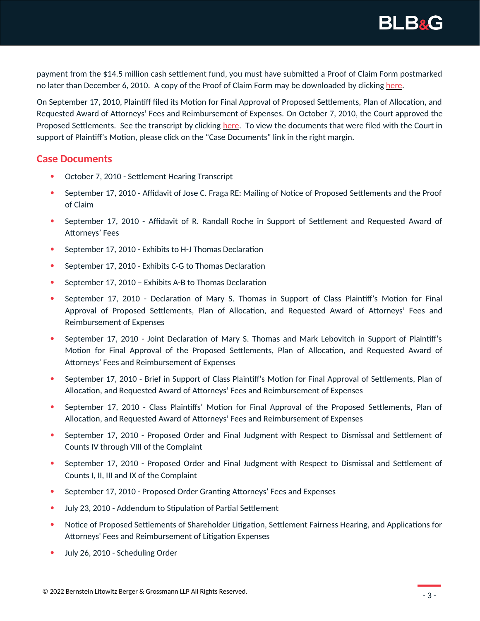

payment from the \$14.5 million cash settlement fund, you must have submitted a Proof of Claim Form postmarked no later than December 6, 2010. A copy of the Proof of Claim Form may be downloaded by clicking [here](https://www.blbglaw.com/cases/00125_data/ProofofClaimForm).

On September 17, 2010, Plaintiff filed its Motion for Final Approval of Proposed Settlements, Plan of Allocation, and Requested Award of Attorneys' Fees and Reimbursement of Expenses. On October 7, 2010, the Court approved the Proposed Settlements. See the transcript by clicking [here](https://www.blbglaw.com/cases/00125_data/10-7-10SettlementHearingTranscript). To view the documents that were filed with the Court in support of Plaintiff's Motion, please click on the "Case Documents" link in the right margin.

## **Case Documents**

- October 7, 2010 Settlement Hearing Transcript
- September 17, 2010 Affidavit of Jose C. Fraga RE: Mailing of Notice of Proposed Settlements and the Proof of Claim
- September 17, 2010 Affidavit of R. Randall Roche in Support of Settlement and Requested Award of Attorneys' Fees
- September 17, 2010 Exhibits to H-J Thomas Declaration
- September 17, 2010 Exhibits C-G to Thomas Declaration
- September 17, 2010 Exhibits A-B to Thomas Declaration
- September 17, 2010 Declaration of Mary S. Thomas in Support of Class Plaintiff's Motion for Final Approval of Proposed Settlements, Plan of Allocation, and Requested Award of Attorneys' Fees and Reimbursement of Expenses
- September 17, 2010 Joint Declaration of Mary S. Thomas and Mark Lebovitch in Support of Plaintiff's Motion for Final Approval of the Proposed Settlements, Plan of Allocation, and Requested Award of Attorneys' Fees and Reimbursement of Expenses
- September 17, 2010 Brief in Support of Class Plaintiff's Motion for Final Approval of Settlements, Plan of Allocation, and Requested Award of Attorneys' Fees and Reimbursement of Expenses
- September 17, 2010 Class Plaintiffs' Motion for Final Approval of the Proposed Settlements, Plan of Allocation, and Requested Award of Attorneys' Fees and Reimbursement of Expenses
- September 17, 2010 Proposed Order and Final Judgment with Respect to Dismissal and Settlement of Counts IV through VIII of the Complaint
- September 17, 2010 Proposed Order and Final Judgment with Respect to Dismissal and Settlement of Counts I, II, III and IX of the Complaint
- September 17, 2010 Proposed Order Granting Attorneys' Fees and Expenses
- July 23, 2010 Addendum to Stipulation of Partial Settlement
- Notice of Proposed Settlements of Shareholder Litigation, Settlement Fairness Hearing, and Applications for Attorneys' Fees and Reimbursement of Litigation Expenses
- July 26, 2010 Scheduling Order